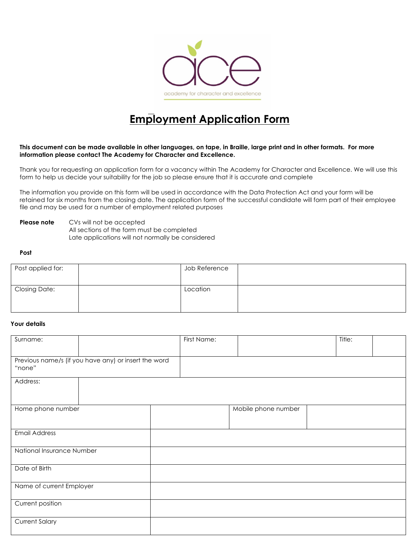

# **Employment Application Form**

## **This document can be made available in other languages, on tape, in Braille, large print and in other formats. For more information please contact The Academy for Character and Excellence.**

Thank you for requesting an application form for a vacancy within The Academy for Character and Excellence. We will use this form to help us decide your suitability for the job so please ensure that it is accurate and complete

The information you provide on this form will be used in accordance with the Data Protection Act and your form will be retained for six months from the closing date. The application form of the successful candidate will form part of their employee file and may be used for a number of employment related purposes

**Please note** CVs will not be accepted All sections of the form must be completed Late applications will not normally be considered

#### **Post**

| Post applied for:    | Job Reference |  |
|----------------------|---------------|--|
| <b>Closing Date:</b> | Location      |  |

# **Your details**

| Surname:                  |                                                      | First Name: |                     | Title: |  |
|---------------------------|------------------------------------------------------|-------------|---------------------|--------|--|
|                           |                                                      |             |                     |        |  |
| "none"                    | Previous name/s (if you have any) or insert the word |             |                     |        |  |
| Address:                  |                                                      |             |                     |        |  |
| Home phone number         |                                                      |             | Mobile phone number |        |  |
| <b>Email Address</b>      |                                                      |             |                     |        |  |
| National Insurance Number |                                                      |             |                     |        |  |
| Date of Birth             |                                                      |             |                     |        |  |
| Name of current Employer  |                                                      |             |                     |        |  |
| Current position          |                                                      |             |                     |        |  |
| <b>Current Salary</b>     |                                                      |             |                     |        |  |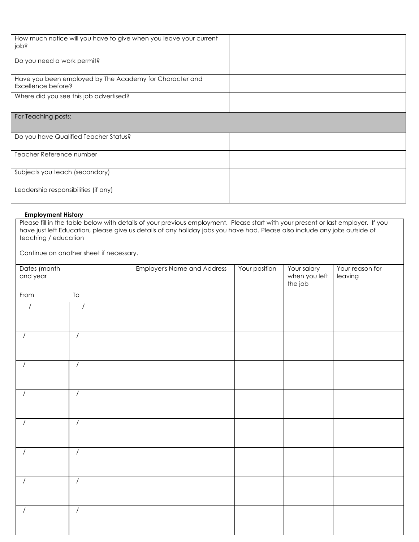| How much notice will you have to give when you leave your current<br>jops     |  |
|-------------------------------------------------------------------------------|--|
| Do you need a work permit?                                                    |  |
| Have you been employed by The Academy for Character and<br>Excellence before? |  |
| Where did you see this job advertised?                                        |  |
| For Teaching posts:                                                           |  |
| Do you have Qualified Teacher Status?                                         |  |
| Teacher Reference number                                                      |  |
| Subjects you teach (secondary)                                                |  |
| Leadership responsibilities (if any)                                          |  |

## **Employment History**

Please fill in the table below with details of your previous employment. Please start with your present or last employer. If you have just left Education, please give us details of any holiday jobs you have had. Please also include any jobs outside of teaching / education

Continue on another sheet if necessary.

| Dates (month<br>and year |                | <b>Employer's Name and Address</b> | Your position | Your salary<br>when you left<br>the job | Your reason for<br>leaving |
|--------------------------|----------------|------------------------------------|---------------|-----------------------------------------|----------------------------|
| From                     | ${\tt To}$     |                                    |               |                                         |                            |
| $\sqrt{2}$               | $\prime$       |                                    |               |                                         |                            |
| $\prime$                 | $\overline{1}$ |                                    |               |                                         |                            |
| $\prime$                 | $\sqrt{2}$     |                                    |               |                                         |                            |
| $\prime$                 | $\prime$       |                                    |               |                                         |                            |
| $\prime$                 | $\prime$       |                                    |               |                                         |                            |
| $\prime$                 | $\sqrt{2}$     |                                    |               |                                         |                            |
| $\prime$                 | $\sqrt{ }$     |                                    |               |                                         |                            |
| $\prime$                 | $\overline{1}$ |                                    |               |                                         |                            |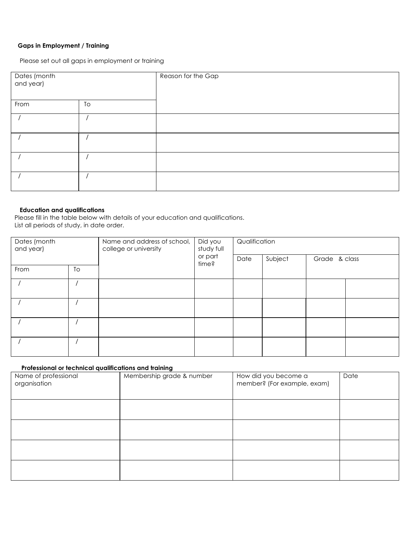# **Gaps in Employment / Training**

Please set out all gaps in employment or training

| Dates (month<br>and year) |    | Reason for the Gap |
|---------------------------|----|--------------------|
| From                      | To |                    |
|                           |    |                    |
|                           |    |                    |
|                           |    |                    |
|                           |    |                    |

# **Education and qualifications**

Please fill in the table below with details of your education and qualifications. List all periods of study, in date order.

| Dates (month<br>and year) |    | Name and address of school,<br>college or university | Did you<br>study full<br>or part<br>time? | Qualification |         |               |  |
|---------------------------|----|------------------------------------------------------|-------------------------------------------|---------------|---------|---------------|--|
|                           |    |                                                      |                                           | Date          | Subject | Grade & class |  |
| From                      | To |                                                      |                                           |               |         |               |  |
|                           |    |                                                      |                                           |               |         |               |  |
|                           |    |                                                      |                                           |               |         |               |  |
|                           |    |                                                      |                                           |               |         |               |  |
|                           |    |                                                      |                                           |               |         |               |  |

# **Professional or technical qualifications and training**

| Name of professional<br>organisation | Membership grade & number | How did you become a<br>member? (For example, exam) | Date |
|--------------------------------------|---------------------------|-----------------------------------------------------|------|
|                                      |                           |                                                     |      |
|                                      |                           |                                                     |      |
|                                      |                           |                                                     |      |
|                                      |                           |                                                     |      |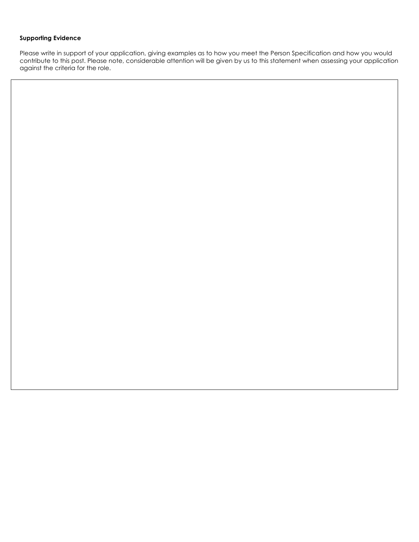# **Supporting Evidence**

Please write in support of your application, giving examples as to how you meet the Person Specification and how you would contribute to this post. Please note, considerable attention will be given by us to this statement when assessing your application against the criteria for the role.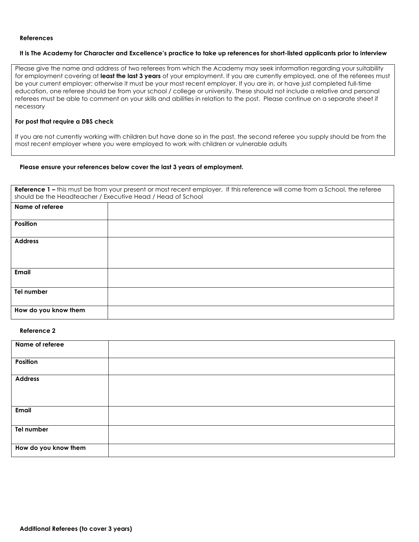#### **References**

## **It is The Academy for Character and Excellence's practice to take up references for short-listed applicants prior to interview**

Please give the name and address of two referees from which the Academy may seek information regarding your suitability for employment covering at **least the last 3 years** of your employment. If you are currently employed, one of the referees must be your current employer; otherwise it must be your most recent employer. If you are in, or have just completed full-time education, one referee should be from your school / college or university. These should not include a relative and personal referees must be able to comment on your skills and abilities in relation to the post. Please continue on a separate sheet if necessary

## **For post that require a DBS check**

If you are not currently working with children but have done so in the past, the second referee you supply should be from the most recent employer where you were employed to work with children or vulnerable adults

#### **Please ensure your references below cover the last 3 years of employment.**

|                      | Reference 1 - this must be from your present or most recent employer. If this reference will come from a School, the referee<br>should be the Headteacher / Executive Head / Head of School |
|----------------------|---------------------------------------------------------------------------------------------------------------------------------------------------------------------------------------------|
| Name of referee      |                                                                                                                                                                                             |
| <b>Position</b>      |                                                                                                                                                                                             |
| <b>Address</b>       |                                                                                                                                                                                             |
| <b>Email</b>         |                                                                                                                                                                                             |
| Tel number           |                                                                                                                                                                                             |
| How do you know them |                                                                                                                                                                                             |

# **Reference 2**

| Name of referee      |  |
|----------------------|--|
| Position             |  |
| <b>Address</b>       |  |
|                      |  |
| Email                |  |
| Tel number           |  |
| How do you know them |  |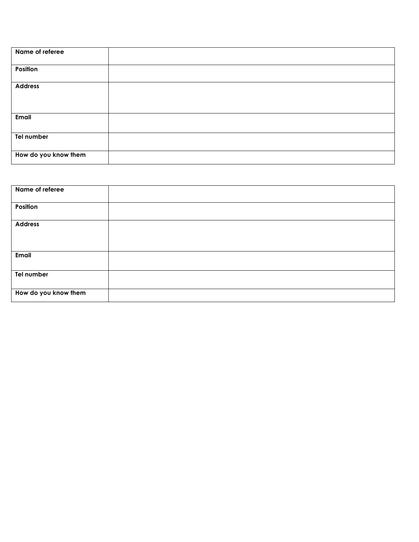| Name of referee      |  |
|----------------------|--|
|                      |  |
|                      |  |
|                      |  |
| Position             |  |
|                      |  |
|                      |  |
|                      |  |
| <b>Address</b>       |  |
|                      |  |
|                      |  |
|                      |  |
|                      |  |
|                      |  |
| Email                |  |
|                      |  |
|                      |  |
|                      |  |
|                      |  |
| Tel number           |  |
|                      |  |
|                      |  |
|                      |  |
| How do you know them |  |
|                      |  |
|                      |  |

| Name of referee      |  |
|----------------------|--|
|                      |  |
|                      |  |
| Position             |  |
|                      |  |
|                      |  |
| <b>Address</b>       |  |
|                      |  |
|                      |  |
|                      |  |
|                      |  |
| Email                |  |
|                      |  |
|                      |  |
| Tel number           |  |
|                      |  |
|                      |  |
| How do you know them |  |
|                      |  |
|                      |  |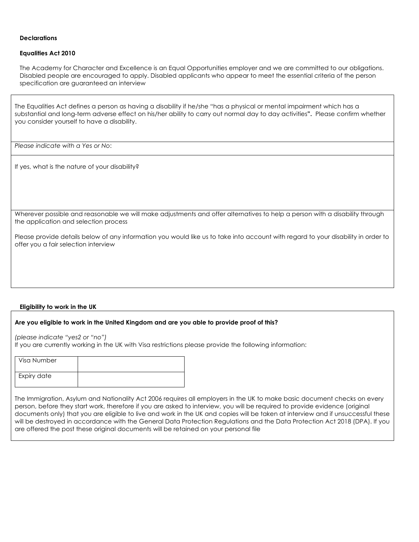## **Declarations**

## **Equalities Act 2010**

The Academy for Character and Excellence is an Equal Opportunities employer and we are committed to our obligations. Disabled people are encouraged to apply. Disabled applicants who appear to meet the essential criteria of the person specification are guaranteed an interview

The Equalities Act defines a person as having a disability if he/she "has a physical or mental impairment which has a substantial and long-term adverse effect on his/her ability to carry out normal day to day activities**".** Please confirm whether you consider yourself to have a disability.

*Please indicate with a Yes or No*:

If yes, what is the nature of your disability?

Wherever possible and reasonable we will make adjustments and offer alternatives to help a person with a disability through the application and selection process

Please provide details below of any information you would like us to take into account with regard to your disability in order to offer you a fair selection interview

# **Eligibility to work in the UK**

# **Are you eligible to work in the United Kingdom and are you able to provide proof of this?**

*(please indicate "yes2 or "no")* 

If you are currently working in the UK with Visa restrictions please provide the following information:

| Visa Number |  |
|-------------|--|
| Expiry date |  |

The Immigration, Asylum and Nationality Act 2006 requires all employers in the UK to make basic document checks on every person, before they start work, therefore if you are asked to interview, you will be required to provide evidence (original documents only) that you are eligible to live and work in the UK and copies will be taken at interview and if unsuccessful these will be destroyed in accordance with the General Data Protection Regulations and the Data Protection Act 2018 (DPA). If you are offered the post these original documents will be retained on your personal file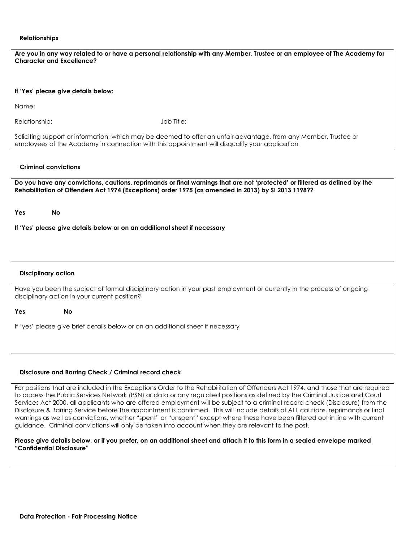#### **Relationships**

| Are you in any way related to or have a personal relationship with any Member, Trustee or an employee of The Academy for<br><b>Character and Excellence?</b> |
|--------------------------------------------------------------------------------------------------------------------------------------------------------------|
| If 'Yes' please give details below:                                                                                                                          |
| Name:                                                                                                                                                        |

Relationship: Job Title:

Soliciting support or information, which may be deemed to offer an unfair advantage, from any Member, Trustee or employees of the Academy in connection with this appointment will disqualify your application

## **Criminal convictions**

| Do you have any convictions, cautions, reprimands or final warnings that are not 'protected' or filtered as defined by the<br>Rehabilitation of Offenders Act 1974 (Exceptions) order 1975 (as amended in 2013) by SI 2013 1198?? |                                                                           |  |  |
|-----------------------------------------------------------------------------------------------------------------------------------------------------------------------------------------------------------------------------------|---------------------------------------------------------------------------|--|--|
| Yes                                                                                                                                                                                                                               | <b>No</b>                                                                 |  |  |
|                                                                                                                                                                                                                                   | If 'Yes' please give details below or on an additional sheet if necessary |  |  |
|                                                                                                                                                                                                                                   |                                                                           |  |  |
|                                                                                                                                                                                                                                   |                                                                           |  |  |

## **Disciplinary action**

Have you been the subject of formal disciplinary action in your past employment or currently in the process of ongoing disciplinary action in your current position?

**Yes No** 

If 'yes' please give brief details below or on an additional sheet if necessary

#### **Disclosure and Barring Check / Criminal record check**

For positions that are included in the Exceptions Order to the Rehabilitation of Offenders Act 1974, and those that are required to access the Public Services Network (PSN) or data or any regulated positions as defined by the Criminal Justice and Court Services Act 2000, all applicants who are offered employment will be subject to a criminal record check (Disclosure) from the Disclosure & Barring Service before the appointment is confirmed. This will include details of ALL cautions, reprimands or final warnings as well as convictions, whether "spent" or "unspent" except where these have been filtered out in line with current guidance. Criminal convictions will only be taken into account when they are relevant to the post.

## **Please give details below, or if you prefer, on an additional sheet and attach it to this form in a sealed envelope marked "Confidential Disclosure"**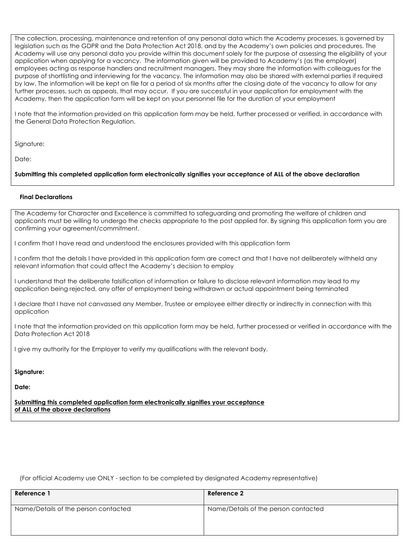The collection, processing, maintenance and retention of any personal data which the Academy processes, is governed by legislation such as the GDPR and the Data Protection Act 2018, and by the Academy's own policies and procedures. The Academy will use any personal data you provide within this document solely for the purpose of assessing the eligibility of your application when applying for a vacancy. The information given will be provided to Academy's (as the employer) employees acting as response handlers and recruitment managers. They may share the information with colleagues for the purpose of shortlisting and interviewing for the vacancy. The information may also be shared with external parties if required by law. The information will be kept on file for a period of six months after the closing date of the vacancy to allow for any further processes, such as appeals, that may occur. If you are successful in your application for employment with the Academy, then the application form will be kept on your personnel file for the duration of your employment

I note that the information provided on this application form may be held, further processed or verified, in accordance with the General Data Protection Regulation.

Signature:

Date:

## **Submitting this completed application form electronically signifies your acceptance of ALL of the above declaration**

## **Final Declarations**

The Academy for Character and Excellence is committed to safeguarding and promoting the welfare of children and applicants must be willing to undergo the checks appropriate to the post applied for. By signing this application form you are confirming your agreement/commitment.

I confirm that I have read and understood the enclosures provided with this application form

I confirm that the details I have provided in this application form are correct and that I have not deliberately withheld any relevant information that could affect the Academy's decision to employ

I understand that the deliberate falsification of information or failure to disclose relevant information may lead to my application being rejected, any offer of employment being withdrawn or actual appointment being terminated

I declare that I have not canvassed any Member, Trustee or employee either directly or indirectly in connection with this application

I note that the information provided on this application form may be held, further processed or verified in accordance with the Data Protection Act 2018

I give my authority for the Employer to verify my qualifications with the relevant body.

**Signature:** 

**Date:** 

**Submitting this completed application form electronically signifies your acceptance of ALL of the above declarations**

(For official Academy use ONLY - section to be completed by designated Academy representative)

| Reference 1                          | Reference 2                          |
|--------------------------------------|--------------------------------------|
| Name/Details of the person contacted | Name/Details of the person contacted |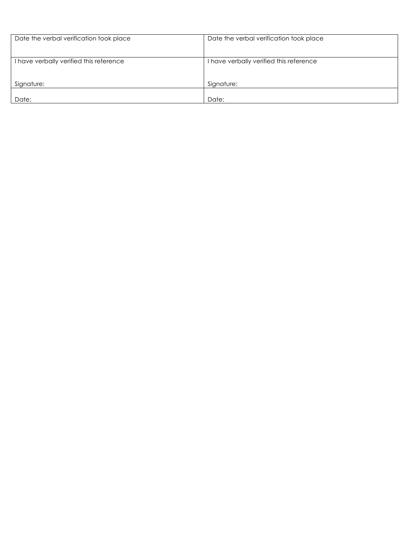| Date the verbal verification took place | Date the verbal verification took place |
|-----------------------------------------|-----------------------------------------|
| I have verbally verified this reference | I have verbally verified this reference |
| Signature:                              | Signature:                              |
| Date:                                   | Date:                                   |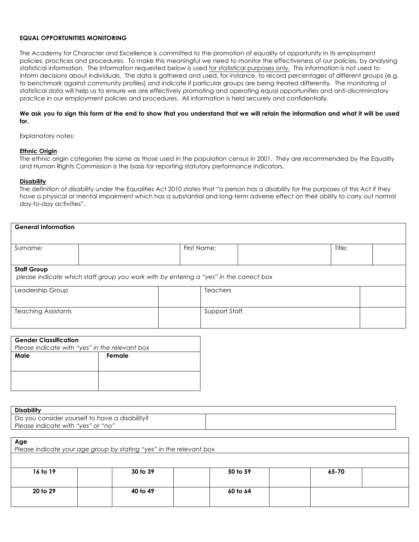## **EQUAL OPPORTUNITIES MONITORING**

The Academy for Character and Excellence is committed to the promotion of equality of opportunity in its employment policies, practices and procedures. To make this meaningful we need to monitor the effectiveness of our policies, by analysing statistical information. The information requested below is used for statistical purposes only. This information is not used to inform decisions about individuals. The data is gathered and used, for instance, to record percentages of different groups (e.g. to benchmark against community profiles) and indicate if particular groups are being treated differently. The monitoring of statistical data will help us to ensure we are effectively promoting and operating equal opportunities and anti-discriminatory practice in our employment policies and procedures. All information is held securely and confidentially.

#### **We ask you to sign this form at the end to show that you understand that we will retain the information and what it will be used for.**

Explanatory notes:

#### **Ethnic Origin**

The ethnic origin categories the same as those used in the population census in 2001. They are recommended by the Equality and Human Rights Commission is the basis for reporting statutory performance indicators.

#### **Disability**

The definition of disability under the Equalities Act 2010 states that "a person has a disability for the purposes of this Act if they have a physical or mental impairment which has a substantial and long-term adverse effect on their ability to carry out normal day-to-day activities".

| <b>General Information</b> |                                                                                        |                 |        |  |
|----------------------------|----------------------------------------------------------------------------------------|-----------------|--------|--|
| Surname:                   |                                                                                        | First Name:     | Title: |  |
| <b>Staff Group</b>         | please indicate which staff group you work with by entering a "yes" in the correct box |                 |        |  |
| Leadership Group           |                                                                                        | <b>Teachers</b> |        |  |
| <b>Teaching Assistants</b> |                                                                                        | Support Staff   |        |  |

| <b>Gender Classification</b>                   |        |  |
|------------------------------------------------|--------|--|
| Please indicate with "yes" in the relevant box |        |  |
| Male                                           | Female |  |
|                                                |        |  |
|                                                |        |  |
|                                                |        |  |
|                                                |        |  |

| <b>Disability</b>                              |  |
|------------------------------------------------|--|
| Do you consider yourself to have a disability? |  |
| Please indicate with "yes" or "no"             |  |

**Age**

|          | Please indicate your age group by stating "yes" in the relevant box |          |       |  |
|----------|---------------------------------------------------------------------|----------|-------|--|
|          |                                                                     |          |       |  |
| 16 to 19 | 30 to 39                                                            | 50 to 59 | 65-70 |  |
| 20 to 29 | 40 to 49                                                            | 60 to 64 |       |  |